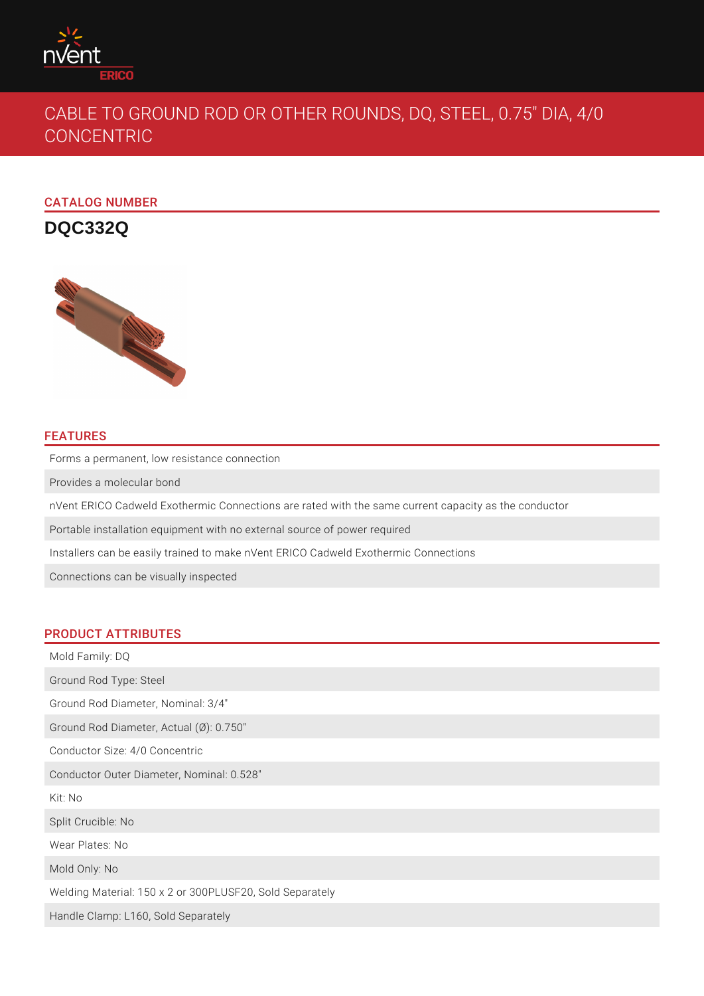

# CABLE TO GROUND ROD OR OTHER ROUNDS, DQ, STEEL, 0.75" DIA, 4/0 CONCENTRIC

CATALOG NUMBER

**DQC332Q**



## FEATURES

Forms a permanent, low resistance connection Provides a molecular bond nVent ERICO Cadweld Exothermic Connections are rated with the same current capacity as the conductor Portable installation equipment with no external source of power required Installers can be easily trained to make nVent ERICO Cadweld Exothermic Connections Connections can be visually inspected

## PRODUCT ATTRIBUTES

Mold Family: DQ Ground Rod Type: Steel Ground Rod Diameter, Nominal: 3/4" Ground Rod Diameter, Actual (Ø): 0.750" Conductor Size: 4/0 Concentric Conductor Outer Diameter, Nominal: 0.528" Kit: No Split Crucible: No Wear Plates: No Mold Only: No Welding Material: 150 x 2 or 300PLUSF20, Sold Separately Handle Clamp: L160, Sold Separately